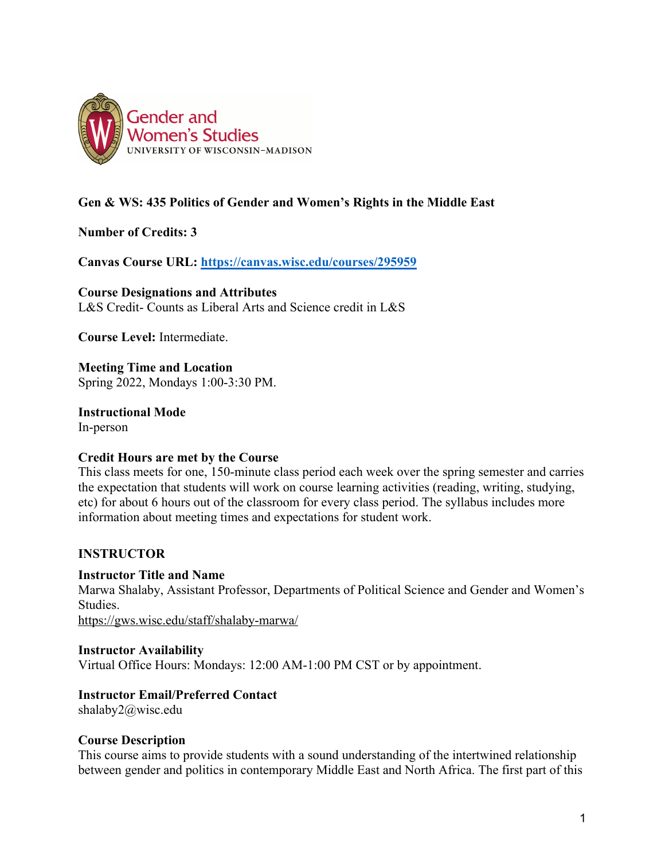

## **Gen & WS: 435 Politics of Gender and Women's Rights in the Middle East**

**Number of Credits: 3**

**Canvas Course URL: https://canvas.wisc.edu/courses/295959**

**Course Designations and Attributes** 

L&S Credit- Counts as Liberal Arts and Science credit in L&S

**Course Level:** Intermediate.

**Meeting Time and Location** Spring 2022, Mondays 1:00-3:30 PM.

**Instructional Mode** In-person

### **Credit Hours are met by the Course**

This class meets for one, 150-minute class period each week over the spring semester and carries the expectation that students will work on course learning activities (reading, writing, studying, etc) for about 6 hours out of the classroom for every class period. The syllabus includes more information about meeting times and expectations for student work.

## **INSTRUCTOR**

### **Instructor Title and Name**

Marwa Shalaby, Assistant Professor, Departments of Political Science and Gender and Women's Studies.

https://gws.wisc.edu/staff/shalaby-marwa/

### **Instructor Availability**

Virtual Office Hours: Mondays: 12:00 AM-1:00 PM CST or by appointment.

### **Instructor Email/Preferred Contact**

shalaby2@wisc.edu

### **Course Description**

This course aims to provide students with a sound understanding of the intertwined relationship between gender and politics in contemporary Middle East and North Africa. The first part of this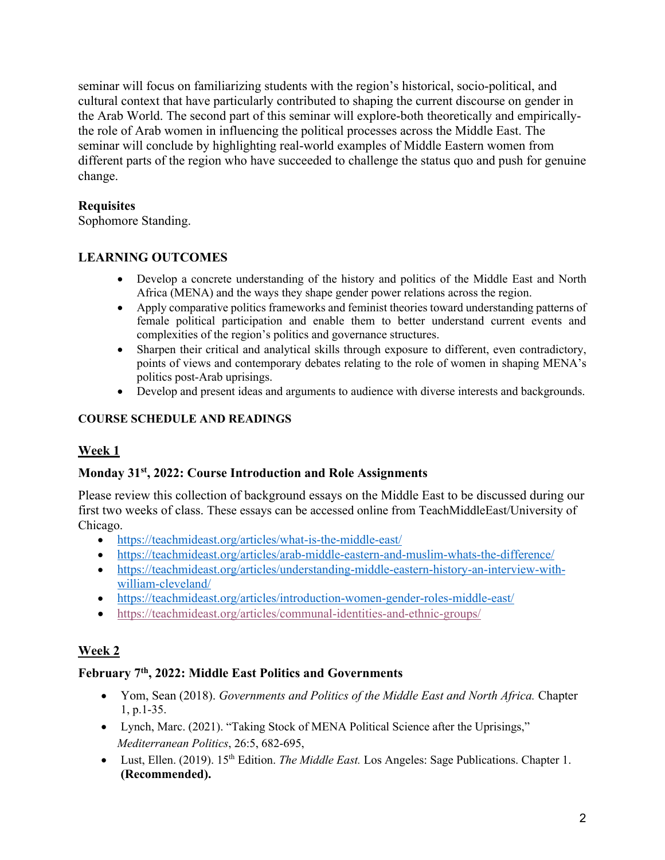seminar will focus on familiarizing students with the region's historical, socio-political, and cultural context that have particularly contributed to shaping the current discourse on gender in the Arab World. The second part of this seminar will explore-both theoretically and empiricallythe role of Arab women in influencing the political processes across the Middle East. The seminar will conclude by highlighting real-world examples of Middle Eastern women from different parts of the region who have succeeded to challenge the status quo and push for genuine change.

## **Requisites**

Sophomore Standing.

## **LEARNING OUTCOMES**

- Develop a concrete understanding of the history and politics of the Middle East and North Africa (MENA) and the ways they shape gender power relations across the region.
- Apply comparative politics frameworks and feminist theories toward understanding patterns of female political participation and enable them to better understand current events and complexities of the region's politics and governance structures.
- Sharpen their critical and analytical skills through exposure to different, even contradictory, points of views and contemporary debates relating to the role of women in shaping MENA's politics post-Arab uprisings.
- Develop and present ideas and arguments to audience with diverse interests and backgrounds.

## **COURSE SCHEDULE AND READINGS**

## **Week 1**

## **Monday 31st, 2022: Course Introduction and Role Assignments**

Please review this collection of background essays on the Middle East to be discussed during our first two weeks of class. These essays can be accessed online from TeachMiddleEast/University of Chicago.

- https://teachmideast.org/articles/what-is-the-middle-east/
- https://teachmideast.org/articles/arab-middle-eastern-and-muslim-whats-the-difference/
- https://teachmideast.org/articles/understanding-middle-eastern-history-an-interview-withwilliam-cleveland/
- https://teachmideast.org/articles/introduction-women-gender-roles-middle-east/
- https://teachmideast.org/articles/communal-identities-and-ethnic-groups/

## **Week 2**

## **February 7th, 2022: Middle East Politics and Governments**

- Yom, Sean (2018). *Governments and Politics of the Middle East and North Africa.* Chapter 1, p.1-35.
- Lynch, Marc. (2021). "Taking Stock of MENA Political Science after the Uprisings," *Mediterranean Politics*, 26:5, 682-695,
- Lust, Ellen. (2019). 15<sup>th</sup> Edition. *The Middle East*. Los Angeles: Sage Publications. Chapter 1. **(Recommended).**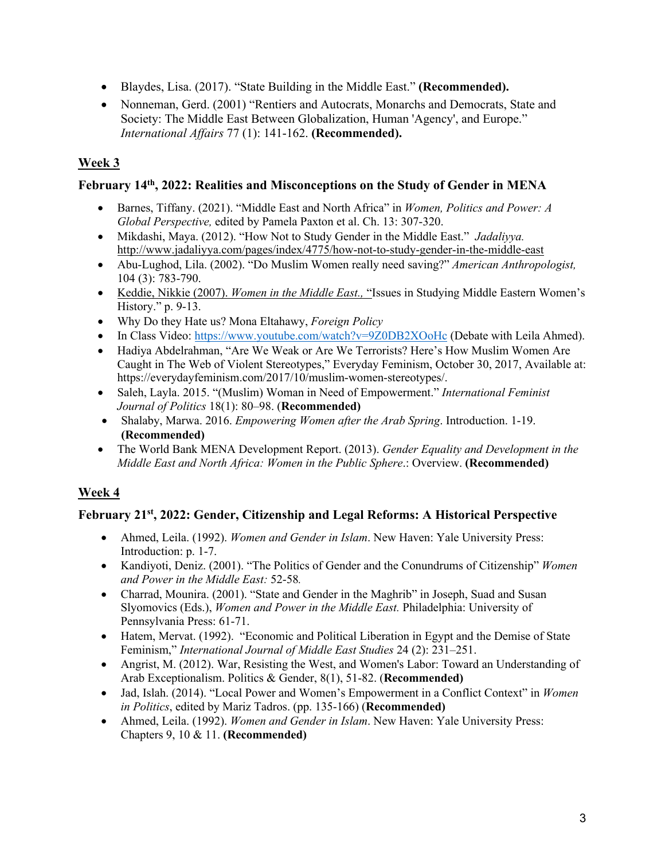- Blaydes, Lisa. (2017). "State Building in the Middle East." **(Recommended).**
- Nonneman, Gerd. (2001) "Rentiers and Autocrats, Monarchs and Democrats, State and Society: The Middle East Between Globalization, Human 'Agency', and Europe." *International Affairs* 77 (1): 141-162. **(Recommended).**

# **Week 3**

## **February 14th, 2022: Realities and Misconceptions on the Study of Gender in MENA**

- Barnes, Tiffany. (2021). "Middle East and North Africa" in *Women, Politics and Power: A Global Perspective,* edited by Pamela Paxton et al. Ch. 13: 307-320.
- Mikdashi, Maya. (2012). "How Not to Study Gender in the Middle East." *Jadaliyya.*  http://www.jadaliyya.com/pages/index/4775/how-not-to-study-gender-in-the-middle-east
- Abu-Lughod, Lila. (2002). "Do Muslim Women really need saving?" *American Anthropologist,* 104 (3): 783-790.
- Keddie, Nikkie (2007). *Women in the Middle East.,* "Issues in Studying Middle Eastern Women's History." p. 9-13.
- Why Do they Hate us? Mona Eltahawy, *Foreign Policy*
- In Class Video: https://www.youtube.com/watch?v=9Z0DB2XOoHc (Debate with Leila Ahmed).
- Hadiya Abdelrahman, "Are We Weak or Are We Terrorists? Here's How Muslim Women Are Caught in The Web of Violent Stereotypes," Everyday Feminism, October 30, 2017, Available at: https://everydayfeminism.com/2017/10/muslim-women-stereotypes/.
- Saleh, Layla. 2015. "(Muslim) Woman in Need of Empowerment." *International Feminist Journal of Politics* 18(1): 80–98. (**Recommended)**
- Shalaby, Marwa. 2016. *Empowering Women after the Arab Spring*. Introduction. 1-19. **(Recommended)**
- The World Bank MENA Development Report. (2013). *Gender Equality and Development in the Middle East and North Africa: Women in the Public Sphere*.: Overview. **(Recommended)**

## **Week 4**

## **February 21st, 2022: Gender, Citizenship and Legal Reforms: A Historical Perspective**

- Ahmed, Leila. (1992). *Women and Gender in Islam*. New Haven: Yale University Press: Introduction: p. 1-7.
- Kandiyoti, Deniz. (2001). "The Politics of Gender and the Conundrums of Citizenship" *Women and Power in the Middle East:* 52-58*.*
- Charrad, Mounira. (2001). "State and Gender in the Maghrib" in Joseph, Suad and Susan Slyomovics (Eds.), *Women and Power in the Middle East.* Philadelphia: University of Pennsylvania Press: 61-71.
- Hatem, Mervat. (1992). "Economic and Political Liberation in Egypt and the Demise of State Feminism," *International Journal of Middle East Studies* 24 (2): 231–251.
- Angrist, M. (2012). War, Resisting the West, and Women's Labor: Toward an Understanding of Arab Exceptionalism. Politics & Gender, 8(1), 51-82. (**Recommended)**
- Jad, Islah. (2014). "Local Power and Women's Empowerment in a Conflict Context" in *Women in Politics*, edited by Mariz Tadros. (pp. 135-166) (**Recommended)**
- Ahmed, Leila. (1992). *Women and Gender in Islam*. New Haven: Yale University Press: Chapters 9, 10 & 11. **(Recommended)**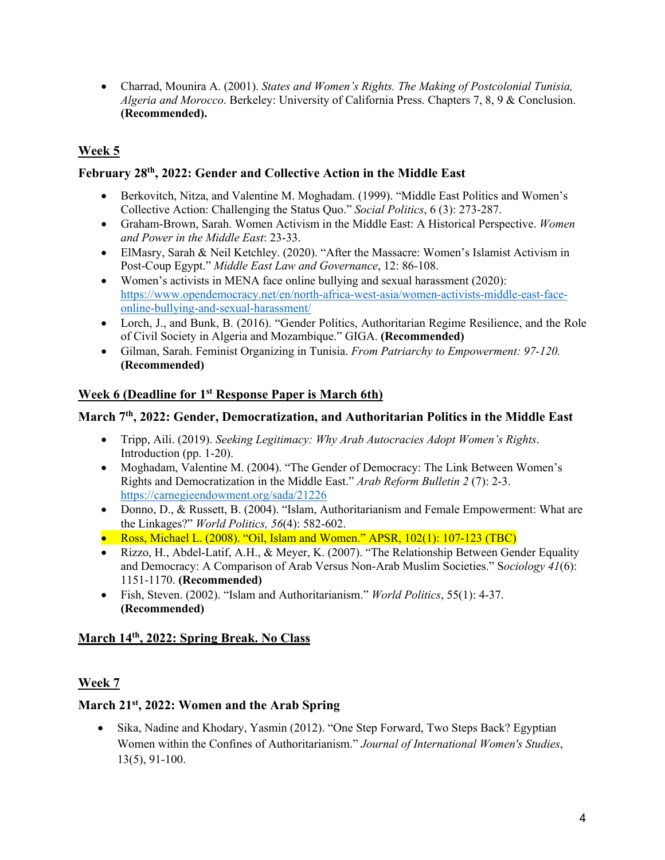• Charrad, Mounira A. (2001). *States and Women's Rights. The Making of Postcolonial Tunisia, Algeria and Morocco*. Berkeley: University of California Press. Chapters 7, 8, 9 & Conclusion. **(Recommended).**

# **Week 5**

## **February 28th, 2022: Gender and Collective Action in the Middle East**

- Berkovitch, Nitza, and Valentine M. Moghadam. (1999). "Middle East Politics and Women's Collective Action: Challenging the Status Quo." *Social Politics*, 6 (3): 273-287.
- Graham-Brown, Sarah. Women Activism in the Middle East: A Historical Perspective. *Women and Power in the Middle East*: 23-33.
- ElMasry, Sarah & Neil Ketchley. (2020). "After the Massacre: Women's Islamist Activism in Post-Coup Egypt." *Middle East Law and Governance*, 12: 86-108.
- Women's activists in MENA face online bullying and sexual harassment (2020): https://www.opendemocracy.net/en/north-africa-west-asia/women-activists-middle-east-faceonline-bullying-and-sexual-harassment/
- Lorch, J., and Bunk, B. (2016). "Gender Politics, Authoritarian Regime Resilience, and the Role of Civil Society in Algeria and Mozambique." GIGA. **(Recommended)**
- Gilman, Sarah. Feminist Organizing in Tunisia. *From Patriarchy to Empowerment: 97-120.* **(Recommended)**

## **Week 6 (Deadline for 1st Response Paper is March 6th)**

## **March 7th, 2022: Gender, Democratization, and Authoritarian Politics in the Middle East**

- Tripp, Aili. (2019). *Seeking Legitimacy: Why Arab Autocracies Adopt Women's Rights*. Introduction (pp. 1-20).
- Moghadam, Valentine M. (2004). "The Gender of Democracy: The Link Between Women's Rights and Democratization in the Middle East." *Arab Reform Bulletin 2* (7): 2-3. https://carnegieendowment.org/sada/21226
- Donno, D., & Russett, B. (2004). "Islam, Authoritarianism and Female Empowerment: What are the Linkages?" *World Politics, 56*(4): 582-602.
- Ross, Michael L. (2008). "Oil, Islam and Women." APSR, 102(1): 107-123 (TBC)
- Rizzo, H., Abdel-Latif, A.H., & Meyer, K. (2007). "The Relationship Between Gender Equality and Democracy: A Comparison of Arab Versus Non-Arab Muslim Societies." S*ociology 41*(6): 1151-1170. **(Recommended)**
- Fish, Steven. (2002). "Islam and Authoritarianism." *World Politics*, 55(1): 4-37. **(Recommended)**

## **March 14th, 2022: Spring Break. No Class**

## **Week 7**

## **March 21st, 2022: Women and the Arab Spring**

• Sika, Nadine and Khodary, Yasmin (2012). "One Step Forward, Two Steps Back? Egyptian Women within the Confines of Authoritarianism." *Journal of International Women's Studies*, 13(5), 91-100.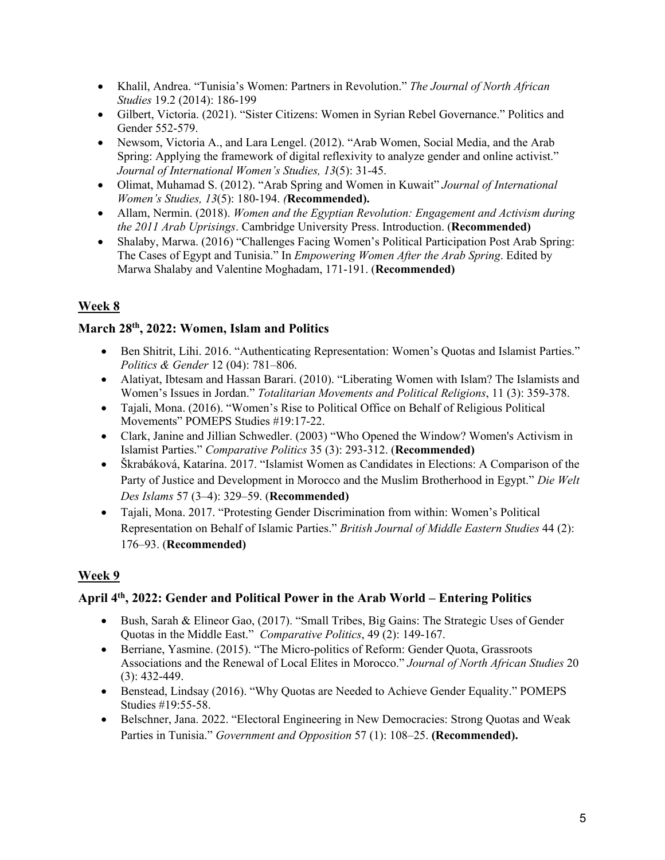- Khalil, Andrea. "Tunisia's Women: Partners in Revolution." *The Journal of North African Studies* 19.2 (2014): 186-199
- Gilbert, Victoria. (2021). "Sister Citizens: Women in Syrian Rebel Governance." Politics and Gender 552-579.
- Newsom, Victoria A., and Lara Lengel. (2012). "Arab Women, Social Media, and the Arab Spring: Applying the framework of digital reflexivity to analyze gender and online activist." *Journal of International Women's Studies, 13*(5): 31-45.
- Olimat, Muhamad S. (2012). "Arab Spring and Women in Kuwait" *Journal of International Women's Studies, 13*(5): 180-194. *(***Recommended).**
- Allam, Nermin. (2018). *Women and the Egyptian Revolution: Engagement and Activism during the 2011 Arab Uprisings*. Cambridge University Press. Introduction. (**Recommended)**
- Shalaby, Marwa. (2016) "Challenges Facing Women's Political Participation Post Arab Spring: The Cases of Egypt and Tunisia." In *Empowering Women After the Arab Spring*. Edited by Marwa Shalaby and Valentine Moghadam, 171-191. (**Recommended)**

# **Week 8**

## **March 28th, 2022: Women, Islam and Politics**

- Ben Shitrit, Lihi. 2016. "Authenticating Representation: Women's Quotas and Islamist Parties." *Politics & Gender* 12 (04): 781–806.
- Alatiyat, Ibtesam and Hassan Barari. (2010). "Liberating Women with Islam? The Islamists and Women's Issues in Jordan." *Totalitarian Movements and Political Religions*, 11 (3): 359-378.
- Tajali, Mona. (2016). "Women's Rise to Political Office on Behalf of Religious Political Movements" POMEPS Studies #19:17-22.
- Clark, Janine and Jillian Schwedler. (2003) "Who Opened the Window? Women's Activism in Islamist Parties." *Comparative Politics* 35 (3): 293-312. (**Recommended)**
- Škrabáková, Katarína. 2017. "Islamist Women as Candidates in Elections: A Comparison of the Party of Justice and Development in Morocco and the Muslim Brotherhood in Egypt." *Die Welt Des Islams* 57 (3–4): 329–59. (**Recommended)**
- Tajali, Mona. 2017. "Protesting Gender Discrimination from within: Women's Political Representation on Behalf of Islamic Parties." *British Journal of Middle Eastern Studies* 44 (2): 176–93. (**Recommended)**

## **Week 9**

## **April 4th, 2022: Gender and Political Power in the Arab World – Entering Politics**

- Bush, Sarah & Elineor Gao, (2017). "Small Tribes, Big Gains: The Strategic Uses of Gender Quotas in the Middle East." *Comparative Politics*, 49 (2): 149-167.
- Berriane, Yasmine. (2015). "The Micro-politics of Reform: Gender Quota, Grassroots Associations and the Renewal of Local Elites in Morocco." *Journal of North African Studies* 20 (3): 432-449.
- Benstead, Lindsay (2016). "Why Quotas are Needed to Achieve Gender Equality." POMEPS Studies #19:55-58.
- Belschner, Jana. 2022. "Electoral Engineering in New Democracies: Strong Quotas and Weak Parties in Tunisia." *Government and Opposition* 57 (1): 108–25. **(Recommended).**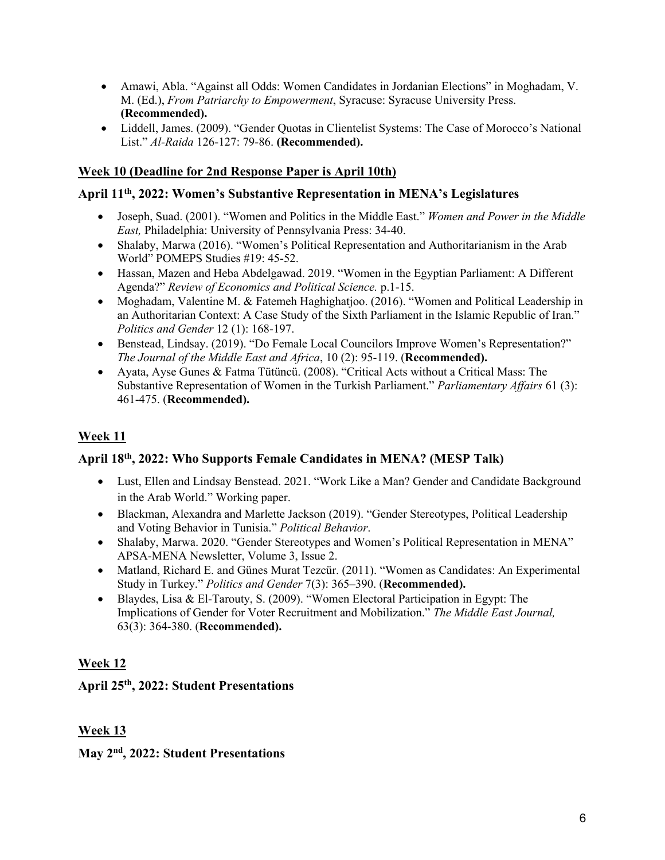- Amawi, Abla. "Against all Odds: Women Candidates in Jordanian Elections" in Moghadam, V. M. (Ed.), *From Patriarchy to Empowerment*, Syracuse: Syracuse University Press. **(Recommended).**
- Liddell, James. (2009). "Gender Quotas in Clientelist Systems: The Case of Morocco's National List." *Al-Raida* 126-127: 79-86. **(Recommended).**

## **Week 10 (Deadline for 2nd Response Paper is April 10th)**

### **April 11th, 2022: Women's Substantive Representation in MENA's Legislatures**

- Joseph, Suad. (2001). "Women and Politics in the Middle East." *Women and Power in the Middle East,* Philadelphia: University of Pennsylvania Press: 34-40.
- Shalaby, Marwa (2016). "Women's Political Representation and Authoritarianism in the Arab World" POMEPS Studies #19: 45-52.
- Hassan, Mazen and Heba Abdelgawad. 2019. "Women in the Egyptian Parliament: A Different Agenda?" *Review of Economics and Political Science.* p.1-15.
- Moghadam, Valentine M. & Fatemeh Haghighatjoo. (2016). "Women and Political Leadership in an Authoritarian Context: A Case Study of the Sixth Parliament in the Islamic Republic of Iran." *Politics and Gender* 12 (1): 168-197.
- Benstead, Lindsay. (2019). "Do Female Local Councilors Improve Women's Representation?" *The Journal of the Middle East and Africa*, 10 (2): 95-119. (**Recommended).**
- Ayata, Ayse Gunes & Fatma Tütüncü. (2008). "Critical Acts without a Critical Mass: The Substantive Representation of Women in the Turkish Parliament." *Parliamentary Affairs* 61 (3): 461-475. (**Recommended).**

## **Week 11**

### **April 18th, 2022: Who Supports Female Candidates in MENA? (MESP Talk)**

- Lust, Ellen and Lindsay Benstead. 2021. "Work Like a Man? Gender and Candidate Background in the Arab World." Working paper.
- Blackman, Alexandra and Marlette Jackson (2019). "Gender Stereotypes, Political Leadership and Voting Behavior in Tunisia." *Political Behavior*.
- Shalaby, Marwa. 2020. "Gender Stereotypes and Women's Political Representation in MENA" APSA-MENA Newsletter, Volume 3, Issue 2.
- Matland, Richard E. and Günes Murat Tezcür. (2011). "Women as Candidates: An Experimental Study in Turkey." *Politics and Gender* 7(3): 365–390. (**Recommended).**
- Blaydes, Lisa & El-Tarouty, S. (2009). "Women Electoral Participation in Egypt: The Implications of Gender for Voter Recruitment and Mobilization." *The Middle East Journal,* 63(3): 364-380. (**Recommended).**

## **Week 12**

### **April 25th, 2022: Student Presentations**

## **Week 13**

### **May 2nd, 2022: Student Presentations**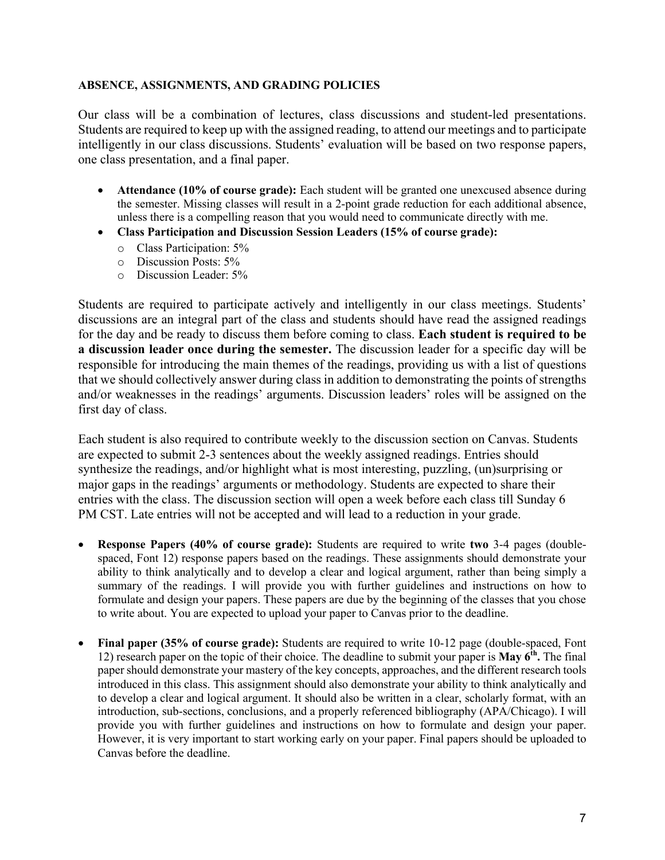#### **ABSENCE, ASSIGNMENTS, AND GRADING POLICIES**

Our class will be a combination of lectures, class discussions and student-led presentations. Students are required to keep up with the assigned reading, to attend our meetings and to participate intelligently in our class discussions. Students' evaluation will be based on two response papers, one class presentation, and a final paper.

- **Attendance (10% of course grade):** Each student will be granted one unexcused absence during the semester. Missing classes will result in a 2-point grade reduction for each additional absence, unless there is a compelling reason that you would need to communicate directly with me.
- **Class Participation and Discussion Session Leaders (15% of course grade):**
	- o Class Participation: 5%
	- o Discussion Posts: 5%
	- o Discussion Leader: 5%

Students are required to participate actively and intelligently in our class meetings. Students' discussions are an integral part of the class and students should have read the assigned readings for the day and be ready to discuss them before coming to class. **Each student is required to be a discussion leader once during the semester.** The discussion leader for a specific day will be responsible for introducing the main themes of the readings, providing us with a list of questions that we should collectively answer during class in addition to demonstrating the points of strengths and/or weaknesses in the readings' arguments. Discussion leaders' roles will be assigned on the first day of class.

Each student is also required to contribute weekly to the discussion section on Canvas. Students are expected to submit 2-3 sentences about the weekly assigned readings. Entries should synthesize the readings, and/or highlight what is most interesting, puzzling, (un)surprising or major gaps in the readings' arguments or methodology. Students are expected to share their entries with the class. The discussion section will open a week before each class till Sunday 6 PM CST. Late entries will not be accepted and will lead to a reduction in your grade.

- **Response Papers (40% of course grade):** Students are required to write **two** 3-4 pages (doublespaced, Font 12) response papers based on the readings. These assignments should demonstrate your ability to think analytically and to develop a clear and logical argument, rather than being simply a summary of the readings. I will provide you with further guidelines and instructions on how to formulate and design your papers. These papers are due by the beginning of the classes that you chose to write about. You are expected to upload your paper to Canvas prior to the deadline.
- **Final paper (35% of course grade):** Students are required to write 10-12 page (double-spaced, Font 12) research paper on the topic of their choice. The deadline to submit your paper is **May 6th.** The final paper should demonstrate your mastery of the key concepts, approaches, and the different research tools introduced in this class. This assignment should also demonstrate your ability to think analytically and to develop a clear and logical argument. It should also be written in a clear, scholarly format, with an introduction, sub-sections, conclusions, and a properly referenced bibliography (APA/Chicago). I will provide you with further guidelines and instructions on how to formulate and design your paper. However, it is very important to start working early on your paper. Final papers should be uploaded to Canvas before the deadline.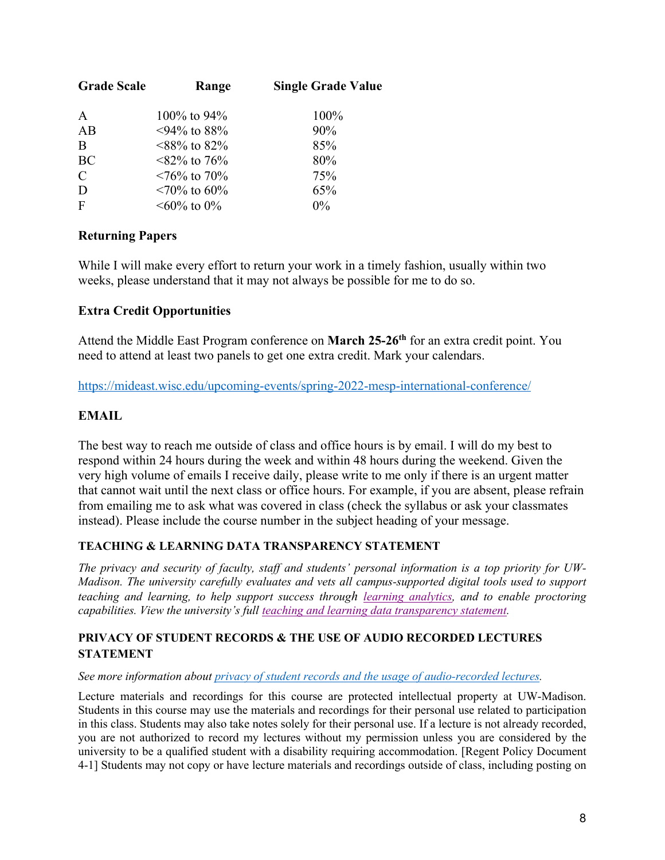| <b>Grade Scale</b> | Range                                   | <b>Single Grade Value</b> |
|--------------------|-----------------------------------------|---------------------------|
| $\mathbf{A}$       | $100\%$ to 94%                          | 100%                      |
| AB                 | $\langle 94\% \text{ to } 88\% \rangle$ | 90%                       |
| B                  | $<88\%$ to 82\%                         | 85%                       |
| BC                 | $<82\%$ to 76\%                         | 80%                       |
| $\mathcal{C}$      | $\leq 76\%$ to 70%                      | 75%                       |
| D                  | $\leq 70\%$ to 60%                      | 65%                       |
| $\mathbf{F}$       | $\leq 60\%$ to $0\%$                    | $0\%$                     |

## **Returning Papers**

While I will make every effort to return your work in a timely fashion, usually within two weeks, please understand that it may not always be possible for me to do so.

## **Extra Credit Opportunities**

Attend the Middle East Program conference on **March 25-26th** for an extra credit point. You need to attend at least two panels to get one extra credit. Mark your calendars.

https://mideast.wisc.edu/upcoming-events/spring-2022-mesp-international-conference/

### **EMAIL**

The best way to reach me outside of class and office hours is by email. I will do my best to respond within 24 hours during the week and within 48 hours during the weekend. Given the very high volume of emails I receive daily, please write to me only if there is an urgent matter that cannot wait until the next class or office hours. For example, if you are absent, please refrain from emailing me to ask what was covered in class (check the syllabus or ask your classmates instead). Please include the course number in the subject heading of your message.

### **TEACHING & LEARNING DATA TRANSPARENCY STATEMENT**

*The privacy and security of faculty, staff and students' personal information is a top priority for UW-Madison. The university carefully evaluates and vets all campus-supported digital tools used to support teaching and learning, to help support success through learning analytics, and to enable proctoring capabilities. View the university's full teaching and learning data transparency statement.*

### **PRIVACY OF STUDENT RECORDS & THE USE OF AUDIO RECORDED LECTURES STATEMENT**

#### *See more information about privacy of student records and the usage of audio-recorded lectures.*

Lecture materials and recordings for this course are protected intellectual property at UW-Madison. Students in this course may use the materials and recordings for their personal use related to participation in this class. Students may also take notes solely for their personal use. If a lecture is not already recorded, you are not authorized to record my lectures without my permission unless you are considered by the university to be a qualified student with a disability requiring accommodation. [Regent Policy Document 4-1] Students may not copy or have lecture materials and recordings outside of class, including posting on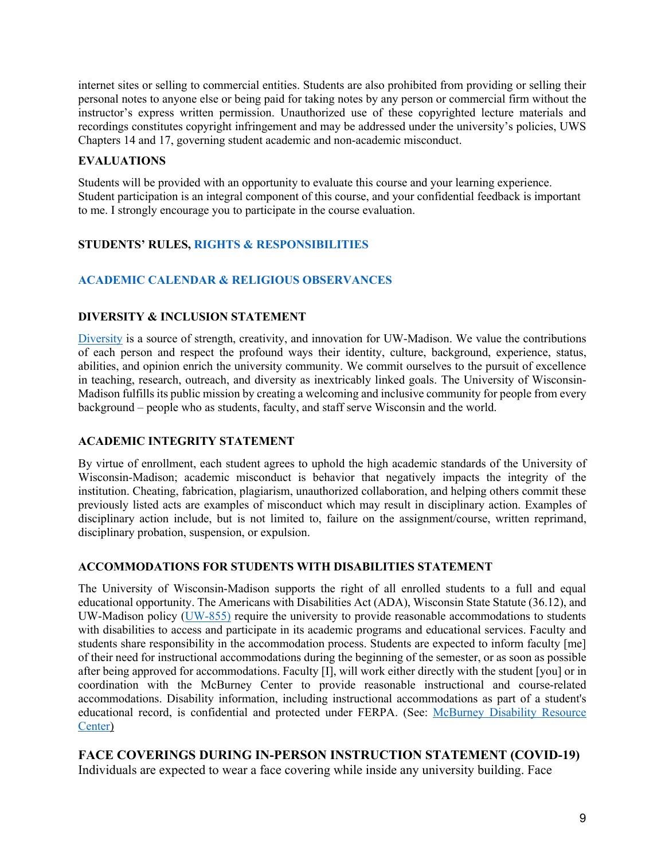internet sites or selling to commercial entities. Students are also prohibited from providing or selling their personal notes to anyone else or being paid for taking notes by any person or commercial firm without the instructor's express written permission. Unauthorized use of these copyrighted lecture materials and recordings constitutes copyright infringement and may be addressed under the university's policies, UWS Chapters 14 and 17, governing student academic and non-academic misconduct.

### **EVALUATIONS**

Students will be provided with an opportunity to evaluate this course and your learning experience. Student participation is an integral component of this course, and your confidential feedback is important to me. I strongly encourage you to participate in the course evaluation.

## **STUDENTS' RULES, RIGHTS & RESPONSIBILITIES**

## **ACADEMIC CALENDAR & RELIGIOUS OBSERVANCES**

### **DIVERSITY & INCLUSION STATEMENT**

Diversity is a source of strength, creativity, and innovation for UW-Madison. We value the contributions of each person and respect the profound ways their identity, culture, background, experience, status, abilities, and opinion enrich the university community. We commit ourselves to the pursuit of excellence in teaching, research, outreach, and diversity as inextricably linked goals. The University of Wisconsin-Madison fulfills its public mission by creating a welcoming and inclusive community for people from every background – people who as students, faculty, and staff serve Wisconsin and the world.

### **ACADEMIC INTEGRITY STATEMENT**

By virtue of enrollment, each student agrees to uphold the high academic standards of the University of Wisconsin-Madison; academic misconduct is behavior that negatively impacts the integrity of the institution. Cheating, fabrication, plagiarism, unauthorized collaboration, and helping others commit these previously listed acts are examples of misconduct which may result in disciplinary action. Examples of disciplinary action include, but is not limited to, failure on the assignment/course, written reprimand, disciplinary probation, suspension, or expulsion.

#### **ACCOMMODATIONS FOR STUDENTS WITH DISABILITIES STATEMENT**

The University of Wisconsin-Madison supports the right of all enrolled students to a full and equal educational opportunity. The Americans with Disabilities Act (ADA), Wisconsin State Statute (36.12), and UW-Madison policy (UW-855) require the university to provide reasonable accommodations to students with disabilities to access and participate in its academic programs and educational services. Faculty and students share responsibility in the accommodation process. Students are expected to inform faculty [me] of their need for instructional accommodations during the beginning of the semester, or as soon as possible after being approved for accommodations. Faculty [I], will work either directly with the student [you] or in coordination with the McBurney Center to provide reasonable instructional and course-related accommodations. Disability information, including instructional accommodations as part of a student's educational record, is confidential and protected under FERPA. (See: McBurney Disability Resource Center)

**FACE COVERINGS DURING IN-PERSON INSTRUCTION STATEMENT (COVID-19)** Individuals are expected to wear a face covering while inside any university building. Face